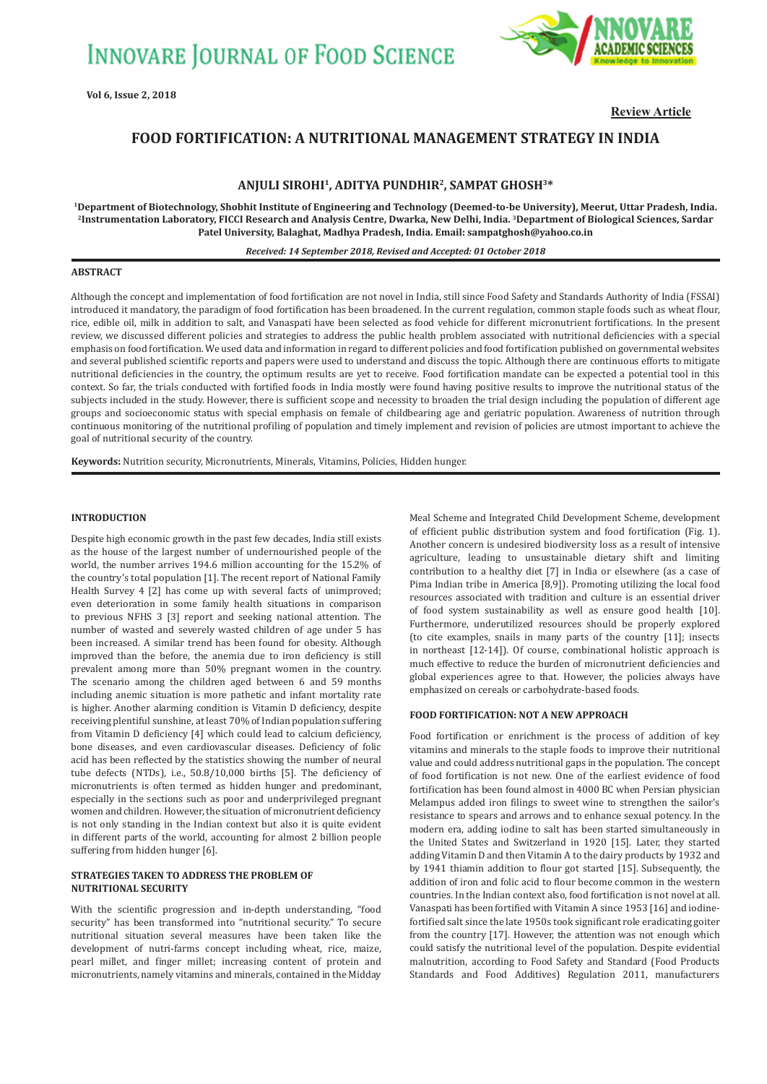

**Review Article**

# **FOOD FORTIFICATION: A NUTRITIONAL MANAGEMENT STRATEGY IN INDIA**

# **ANJULI SIROHI1, ADITYA PUNDHIR2, SAMPAT GHOSH3\***

**1Department of Biotechnology, Shobhit Institute of Engineering and Technology (Deemed-to-be University), Meerut, Uttar Pradesh, India. 2Instrumentation Laboratory, FICCI Research and Analysis Centre, Dwarka, New Delhi, India. 3Department of Biological Sciences, Sardar Patel University, Balaghat, Madhya Pradesh, India. Email: sampatghosh@yahoo.co.in**

### *Received: 14 September 2018, Revised and Accepted: 01 October 2018*

### **ABSTRACT**

Although the concept and implementation of food fortification are not novel in India, still since Food Safety and Standards Authority of India (FSSAI) introduced it mandatory, the paradigm of food fortification has been broadened. In the current regulation, common staple foods such as wheat flour, rice, edible oil, milk in addition to salt, and Vanaspati have been selected as food vehicle for different micronutrient fortifications. In the present review, we discussed different policies and strategies to address the public health problem associated with nutritional deficiencies with a special emphasis on food fortification. We used data and information in regard to different policies and food fortification published on governmental websites and several published scientific reports and papers were used to understand and discuss the topic. Although there are continuous efforts to mitigate nutritional deficiencies in the country, the optimum results are yet to receive. Food fortification mandate can be expected a potential tool in this context. So far, the trials conducted with fortified foods in India mostly were found having positive results to improve the nutritional status of the subjects included in the study. However, there is sufficient scope and necessity to broaden the trial design including the population of different age groups and socioeconomic status with special emphasis on female of childbearing age and geriatric population. Awareness of nutrition through continuous monitoring of the nutritional profiling of population and timely implement and revision of policies are utmost important to achieve the goal of nutritional security of the country.

**Keywords:** Nutrition security, Micronutrients, Minerals, Vitamins, Policies, Hidden hunger.

## **INTRODUCTION**

Despite high economic growth in the past few decades, India still exists as the house of the largest number of undernourished people of the world, the number arrives 194.6 million accounting for the 15.2% of the country's total population [1]. The recent report of National Family Health Survey 4 [2] has come up with several facts of unimproved; even deterioration in some family health situations in comparison to previous NFHS 3 [3] report and seeking national attention. The number of wasted and severely wasted children of age under 5 has been increased. A similar trend has been found for obesity. Although improved than the before, the anemia due to iron deficiency is still prevalent among more than 50% pregnant women in the country. The scenario among the children aged between 6 and 59 months including anemic situation is more pathetic and infant mortality rate is higher. Another alarming condition is Vitamin D deficiency, despite receiving plentiful sunshine, at least 70% of Indian population suffering from Vitamin D deficiency [4] which could lead to calcium deficiency, bone diseases, and even cardiovascular diseases. Deficiency of folic acid has been reflected by the statistics showing the number of neural tube defects (NTDs), i.e., 50.8/10,000 births [5]. The deficiency of micronutrients is often termed as hidden hunger and predominant, especially in the sections such as poor and underprivileged pregnant women and children. However, the situation of micronutrient deficiency is not only standing in the Indian context but also it is quite evident in different parts of the world, accounting for almost 2 billion people suffering from hidden hunger [6].

## **STRATEGIES TAKEN TO ADDRESS THE PROBLEM OF NUTRITIONAL SECURITY**

With the scientific progression and in-depth understanding, "food security" has been transformed into "nutritional security." To secure nutritional situation several measures have been taken like the development of nutri-farms concept including wheat, rice, maize, pearl millet, and finger millet; increasing content of protein and micronutrients, namely vitamins and minerals, contained in the Midday Meal Scheme and Integrated Child Development Scheme, development of efficient public distribution system and food fortification (Fig. 1). Another concern is undesired biodiversity loss as a result of intensive agriculture, leading to unsustainable dietary shift and limiting contribution to a healthy diet [7] in India or elsewhere (as a case of Pima Indian tribe in America [8,9]). Promoting utilizing the local food resources associated with tradition and culture is an essential driver of food system sustainability as well as ensure good health [10]. Furthermore, underutilized resources should be properly explored (to cite examples, snails in many parts of the country [11]; insects in northeast [12-14]). Of course, combinational holistic approach is much effective to reduce the burden of micronutrient deficiencies and global experiences agree to that. However, the policies always have emphasized on cereals or carbohydrate-based foods.

# **FOOD FORTIFICATION: NOT A NEW APPROACH**

Food fortification or enrichment is the process of addition of key vitamins and minerals to the staple foods to improve their nutritional value and could address nutritional gaps in the population. The concept of food fortification is not new. One of the earliest evidence of food fortification has been found almost in 4000 BC when Persian physician Melampus added iron filings to sweet wine to strengthen the sailor's resistance to spears and arrows and to enhance sexual potency. In the modern era, adding iodine to salt has been started simultaneously in the United States and Switzerland in 1920 [15]. Later, they started adding Vitamin D and then Vitamin A to the dairy products by 1932 and by 1941 thiamin addition to flour got started [15]. Subsequently, the addition of iron and folic acid to flour become common in the western countries. In the Indian context also, food fortification is not novel at all. Vanaspati has been fortified with Vitamin A since 1953 [16] and iodinefortified salt since the late 1950s took significant role eradicating goiter from the country [17]. However, the attention was not enough which could satisfy the nutritional level of the population. Despite evidential malnutrition, according to Food Safety and Standard (Food Products Standards and Food Additives) Regulation 2011, manufacturers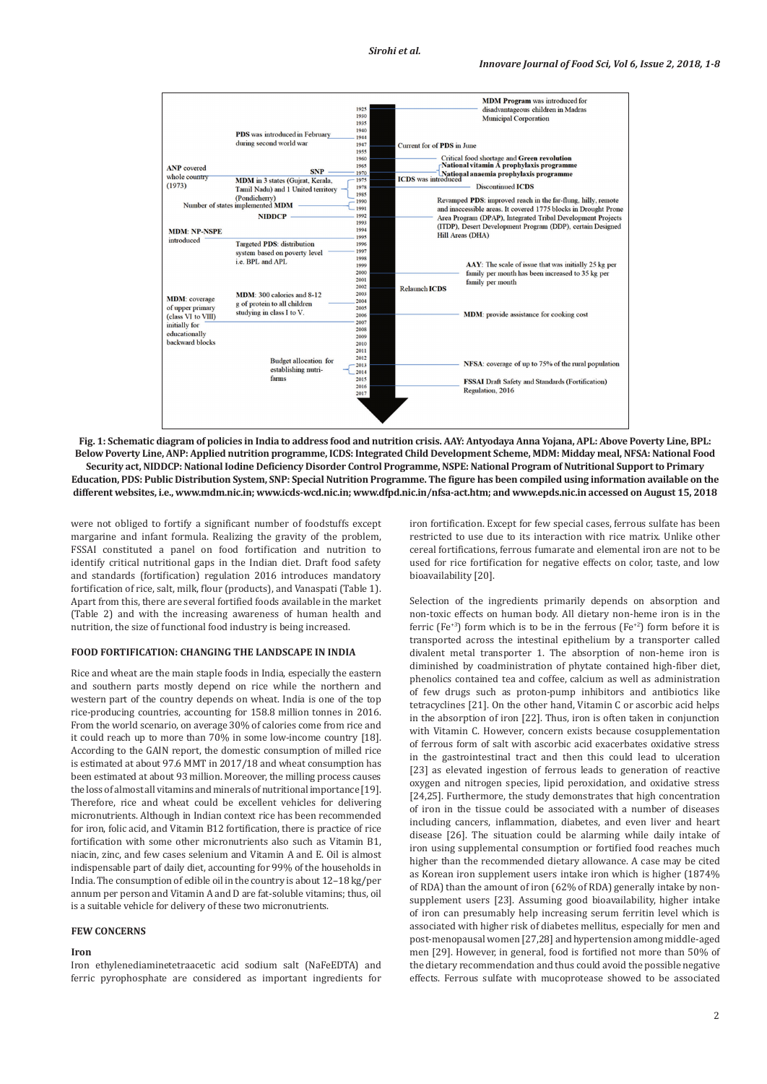

**Fig. 1: Schematic diagram of policies in India to address food and nutrition crisis. AAY: Antyodaya Anna Yojana, APL: Above Poverty Line, BPL: Below Poverty Line, ANP: Applied nutrition programme, ICDS: Integrated Child Development Scheme, MDM: Midday meal, NFSA: National Food Security act, NIDDCP: National Iodine Deficiency Disorder Control Programme, NSPE: National Program of Nutritional Support to Primary Education, PDS: Public Distribution System, SNP: Special Nutrition Programme. The figure has been compiled using information available on the different websites, i.e., www.mdm.nic.in; www.icds-wcd.nic.in; www.dfpd.nic.in/nfsa-act.htm; and www.epds.nic.in accessed on August 15, 2018**

were not obliged to fortify a significant number of foodstuffs except margarine and infant formula. Realizing the gravity of the problem, FSSAI constituted a panel on food fortification and nutrition to identify critical nutritional gaps in the Indian diet. Draft food safety and standards (fortification) regulation 2016 introduces mandatory fortification of rice, salt, milk, flour (products), and Vanaspati (Table 1). Apart from this, there are several fortified foods available in the market (Table 2) and with the increasing awareness of human health and nutrition, the size of functional food industry is being increased.

### **FOOD FORTIFICATION: CHANGING THE LANDSCAPE IN INDIA**

Rice and wheat are the main staple foods in India, especially the eastern and southern parts mostly depend on rice while the northern and western part of the country depends on wheat. India is one of the top rice-producing countries, accounting for 158.8 million tonnes in 2016. From the world scenario, on average 30% of calories come from rice and it could reach up to more than 70% in some low-income country [18]. According to the GAIN report, the domestic consumption of milled rice is estimated at about 97.6 MMT in 2017/18 and wheat consumption has been estimated at about 93 million. Moreover, the milling process causes the loss of almost all vitamins and minerals of nutritional importance [19]. Therefore, rice and wheat could be excellent vehicles for delivering micronutrients. Although in Indian context rice has been recommended for iron, folic acid, and Vitamin B12 fortification, there is practice of rice fortification with some other micronutrients also such as Vitamin B1, niacin, zinc, and few cases selenium and Vitamin A and E. Oil is almost indispensable part of daily diet, accounting for 99% of the households in India. The consumption of edible oil in the country is about 12–18 kg/per annum per person and Vitamin A and D are fat-soluble vitamins; thus, oil is a suitable vehicle for delivery of these two micronutrients.

## **FEW CONCERNS**

### **Iron**

Iron ethylenediaminetetraacetic acid sodium salt (NaFeEDTA) and ferric pyrophosphate are considered as important ingredients for iron fortification. Except for few special cases, ferrous sulfate has been restricted to use due to its interaction with rice matrix. Unlike other cereal fortifications, ferrous fumarate and elemental iron are not to be used for rice fortification for negative effects on color, taste, and low bioavailability [20].

Selection of the ingredients primarily depends on absorption and non-toxic effects on human body. All dietary non-heme iron is in the ferric (Fe<sup>+3</sup>) form which is to be in the ferrous (Fe<sup>+2</sup>) form before it is transported across the intestinal epithelium by a transporter called divalent metal transporter 1. The absorption of non-heme iron is diminished by coadministration of phytate contained high-fiber diet, phenolics contained tea and coffee, calcium as well as administration of few drugs such as proton-pump inhibitors and antibiotics like tetracyclines [21]. On the other hand, Vitamin C or ascorbic acid helps in the absorption of iron [22]. Thus, iron is often taken in conjunction with Vitamin C. However, concern exists because cosupplementation of ferrous form of salt with ascorbic acid exacerbates oxidative stress in the gastrointestinal tract and then this could lead to ulceration [23] as elevated ingestion of ferrous leads to generation of reactive oxygen and nitrogen species, lipid peroxidation, and oxidative stress [24,25]. Furthermore, the study demonstrates that high concentration of iron in the tissue could be associated with a number of diseases including cancers, inflammation, diabetes, and even liver and heart disease [26]. The situation could be alarming while daily intake of iron using supplemental consumption or fortified food reaches much higher than the recommended dietary allowance. A case may be cited as Korean iron supplement users intake iron which is higher (1874% of RDA) than the amount of iron (62% of RDA) generally intake by nonsupplement users [23]. Assuming good bioavailability, higher intake of iron can presumably help increasing serum ferritin level which is associated with higher risk of diabetes mellitus, especially for men and post-menopausal women [27,28] and hypertension among middle-aged men [29]. However, in general, food is fortified not more than 50% of the dietary recommendation and thus could avoid the possible negative effects. Ferrous sulfate with mucoprotease showed to be associated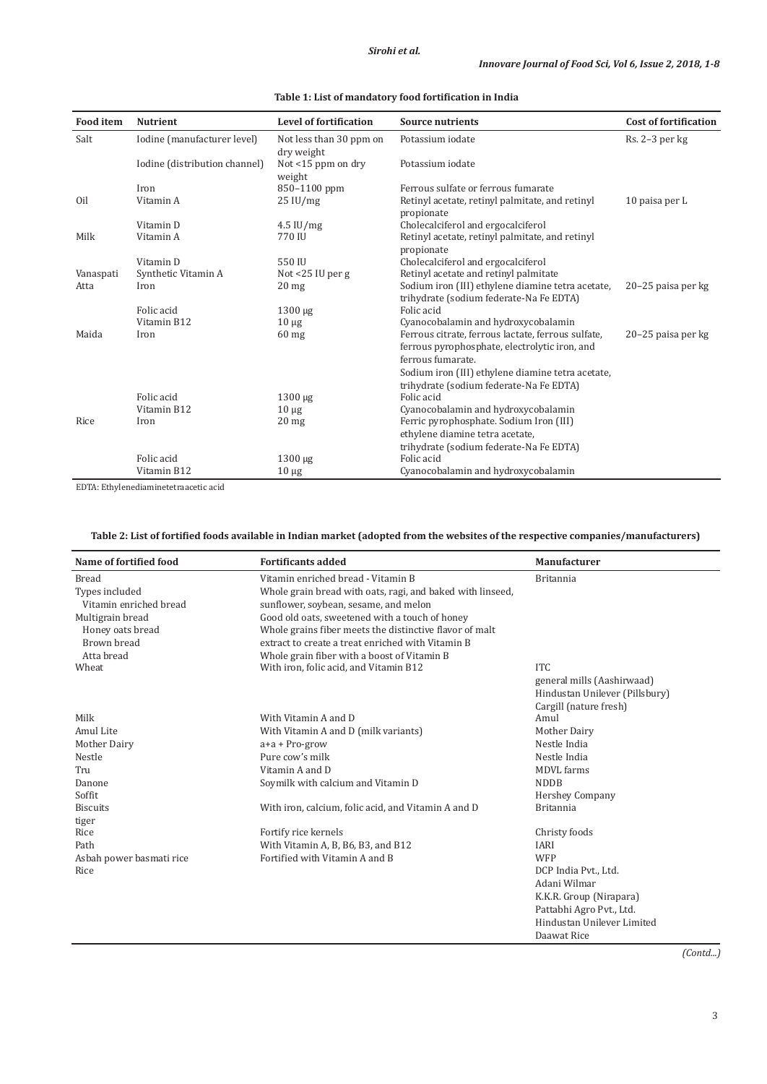| <b>Food</b> item | <b>Nutrient</b>               | <b>Level of fortification</b>              | <b>Source nutrients</b>                                                                                                  | <b>Cost of fortification</b> |
|------------------|-------------------------------|--------------------------------------------|--------------------------------------------------------------------------------------------------------------------------|------------------------------|
| Salt             | Iodine (manufacturer level)   | Not less than 30 ppm on                    | Potassium iodate                                                                                                         | Rs. 2-3 per kg               |
|                  | Iodine (distribution channel) | dry weight<br>Not <15 ppm on dry<br>weight | Potassium iodate                                                                                                         |                              |
|                  | Iron                          | 850-1100 ppm                               | Ferrous sulfate or ferrous fumarate                                                                                      |                              |
| Oil              | Vitamin A                     | $25 \mathrm{IU/mg}$                        | Retinyl acetate, retinyl palmitate, and retinyl<br>propionate                                                            | 10 paisa per L               |
|                  | Vitamin D                     | $4.5$ IU/mg                                | Cholecalciferol and ergocalciferol                                                                                       |                              |
| Milk             | Vitamin A                     | 770 IU                                     | Retinyl acetate, retinyl palmitate, and retinyl                                                                          |                              |
|                  | Vitamin D                     | 550 IU                                     | propionate<br>Cholecalciferol and ergocalciferol                                                                         |                              |
| Vanaspati        | Synthetic Vitamin A           | Not $<$ 25 IU per g                        | Retinyl acetate and retinyl palmitate                                                                                    |                              |
| Atta             | Iron                          | 20 <sub>mg</sub>                           | Sodium iron (III) ethylene diamine tetra acetate,<br>trihydrate (sodium federate-Na Fe EDTA)                             | 20–25 paisa per kg           |
|                  | Folic acid                    | $1300 \mu g$                               | Folic acid                                                                                                               |                              |
|                  | Vitamin B12                   | $10 \mu$ g                                 | Cyanocobalamin and hydroxycobalamin                                                                                      |                              |
| Maida            | Iron                          | $60$ mg                                    | Ferrous citrate, ferrous lactate, ferrous sulfate,<br>ferrous pyrophosphate, electrolytic iron, and<br>ferrous fumarate. | 20–25 paisa per kg           |
|                  |                               |                                            | Sodium iron (III) ethylene diamine tetra acetate,<br>trihydrate (sodium federate-Na Fe EDTA)                             |                              |
|                  | Folic acid                    | $1300 \mu g$                               | Folic acid                                                                                                               |                              |
|                  | Vitamin B12                   | $10 \mu g$                                 | Cyanocobalamin and hydroxycobalamin                                                                                      |                              |
| Rice             | Iron                          | $20$ mg                                    | Ferric pyrophosphate. Sodium Iron (III)                                                                                  |                              |
|                  |                               |                                            | ethylene diamine tetra acetate,                                                                                          |                              |
|                  |                               |                                            | trihydrate (sodium federate-Na Fe EDTA)                                                                                  |                              |
|                  | Folic acid                    | $1300 \mu g$                               | Folic acid                                                                                                               |                              |
|                  | Vitamin B12                   | $10 \mu g$                                 | Cyanocobalamin and hydroxycobalamin                                                                                      |                              |

**Table 1: List of mandatory food fortification in India**

EDTA: Ethylenediaminetetraacetic acid

# **Table 2: List of fortified foods available in Indian market (adopted from the websites of the respective companies/manufacturers)**

| Name of fortified food   | <b>Fortificants added</b>                                  | <b>Manufacturer</b>            |
|--------------------------|------------------------------------------------------------|--------------------------------|
| <b>Bread</b>             | Vitamin enriched bread - Vitamin B                         | <b>Britannia</b>               |
| Types included           | Whole grain bread with oats, ragi, and baked with linseed, |                                |
| Vitamin enriched bread   | sunflower, soybean, sesame, and melon                      |                                |
| Multigrain bread         | Good old oats, sweetened with a touch of honey             |                                |
| Honey oats bread         | Whole grains fiber meets the distinctive flavor of malt    |                                |
| Brown bread              | extract to create a treat enriched with Vitamin B          |                                |
| Atta bread               | Whole grain fiber with a boost of Vitamin B                |                                |
| Wheat                    | With iron, folic acid, and Vitamin B12                     | <b>ITC</b>                     |
|                          |                                                            | general mills (Aashirwaad)     |
|                          |                                                            | Hindustan Unilever (Pillsbury) |
|                          |                                                            | Cargill (nature fresh)         |
| Milk                     | With Vitamin A and D                                       | Amul                           |
| Amul Lite                | With Vitamin A and D (milk variants)                       | Mother Dairy                   |
| Mother Dairy             | $a+a + Pro-grow$                                           | Nestle India                   |
| Nestle                   | Pure cow's milk                                            | Nestle India                   |
| Tru                      | Vitamin A and D                                            | MDVL farms                     |
| Danone                   | Soymilk with calcium and Vitamin D                         | <b>NDDB</b>                    |
| Soffit                   |                                                            | <b>Hershey Company</b>         |
| <b>Biscuits</b>          | With iron, calcium, folic acid, and Vitamin A and D        | <b>Britannia</b>               |
| tiger                    |                                                            |                                |
| Rice                     | Fortify rice kernels                                       | Christy foods                  |
| Path                     | With Vitamin A, B, B6, B3, and B12                         | <b>IARI</b>                    |
| Asbah power basmati rice | Fortified with Vitamin A and B                             | <b>WFP</b>                     |
| Rice                     |                                                            | DCP India Pvt., Ltd.           |
|                          |                                                            | Adani Wilmar                   |
|                          |                                                            | K.K.R. Group (Nirapara)        |
|                          |                                                            | Pattabhi Agro Pvt., Ltd.       |
|                          |                                                            | Hindustan Unilever Limited     |

*(Contd...)*

Daawat Rice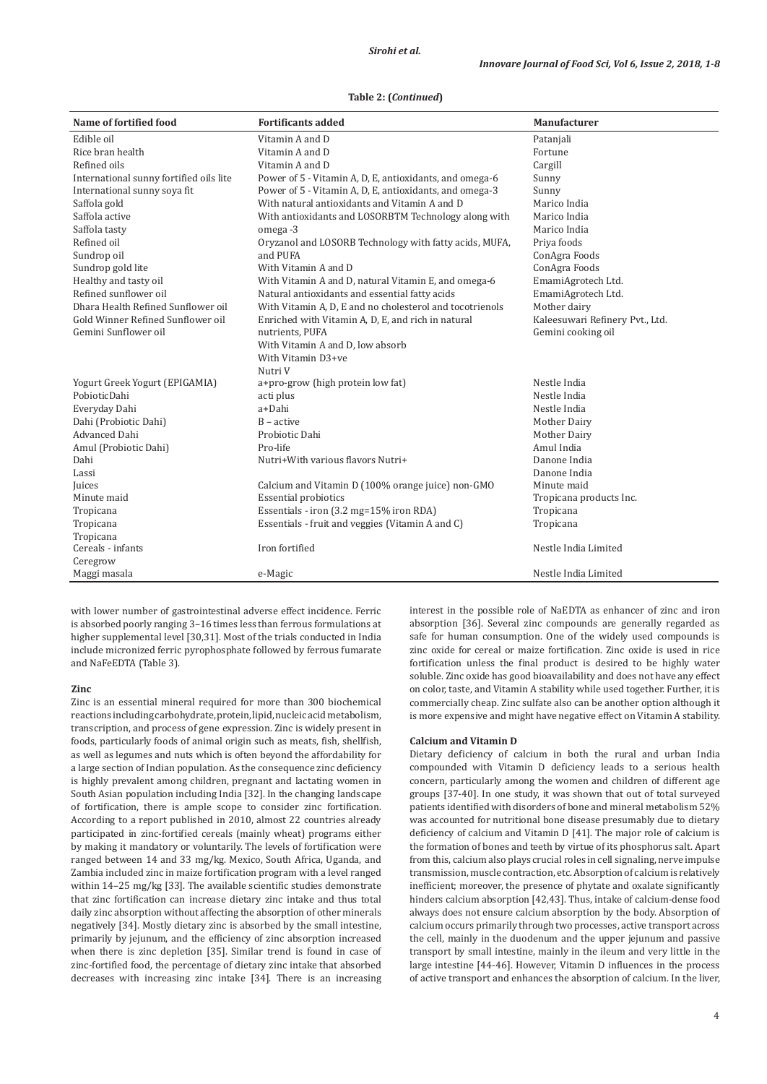## **Table 2: (***Continued***)**

| Name of fortified food                  | <b>Fortificants added</b>                                | Manufacturer                    |
|-----------------------------------------|----------------------------------------------------------|---------------------------------|
| Edible oil                              | Vitamin A and D                                          | Patanjali                       |
| Rice bran health                        | Vitamin A and D                                          | Fortune                         |
| Refined oils                            | Vitamin A and D                                          | Cargill                         |
| International sunny fortified oils lite | Power of 5 - Vitamin A, D, E, antioxidants, and omega-6  | Sunny                           |
| International sunny soya fit            | Power of 5 - Vitamin A, D, E, antioxidants, and omega-3  | Sunny                           |
| Saffola gold                            | With natural antioxidants and Vitamin A and D            | Marico India                    |
| Saffola active                          | With antioxidants and LOSORBTM Technology along with     | Marico India                    |
| Saffola tasty                           | omega -3                                                 | Marico India                    |
| Refined oil                             | Oryzanol and LOSORB Technology with fatty acids, MUFA,   | Priva foods                     |
| Sundrop oil                             | and PUFA                                                 | ConAgra Foods                   |
| Sundrop gold lite                       | With Vitamin A and D                                     | ConAgra Foods                   |
| Healthy and tasty oil                   | With Vitamin A and D, natural Vitamin E, and omega-6     | EmamiAgrotech Ltd.              |
| Refined sunflower oil                   | Natural antioxidants and essential fatty acids           | EmamiAgrotech Ltd.              |
| Dhara Health Refined Sunflower oil      | With Vitamin A, D, E and no cholesterol and tocotrienols | Mother dairy                    |
| Gold Winner Refined Sunflower oil       | Enriched with Vitamin A, D, E, and rich in natural       | Kaleesuwari Refinery Pvt., Ltd. |
| Gemini Sunflower oil                    | nutrients, PUFA                                          | Gemini cooking oil              |
|                                         | With Vitamin A and D, low absorb                         |                                 |
|                                         | With Vitamin D3+ve                                       |                                 |
|                                         | Nutri V                                                  |                                 |
| Yogurt Greek Yogurt (EPIGAMIA)          | a+pro-grow (high protein low fat)                        | Nestle India                    |
| PobioticDahi                            | acti plus                                                | Nestle India                    |
| Everyday Dahi                           | a+Dahi                                                   | Nestle India                    |
| Dahi (Probiotic Dahi)                   | $B - active$                                             | Mother Dairy                    |
| Advanced Dahi                           | Probiotic Dahi                                           | Mother Dairy                    |
| Amul (Probiotic Dahi)                   | Pro-life                                                 | Amul India                      |
| Dahi                                    | Nutri+With various flavors Nutri+                        | Danone India                    |
| Lassi                                   |                                                          | Danone India                    |
| Juices                                  | Calcium and Vitamin D (100% orange juice) non-GMO        | Minute maid                     |
| Minute maid                             | <b>Essential probiotics</b>                              | Tropicana products Inc.         |
| Tropicana                               | Essentials - iron (3.2 mg=15% iron RDA)                  | Tropicana                       |
| Tropicana                               | Essentials - fruit and veggies (Vitamin A and C)         | Tropicana                       |
| Tropicana                               |                                                          |                                 |
| Cereals - infants                       | Iron fortified                                           | Nestle India Limited            |
| Ceregrow                                |                                                          |                                 |
| Maggi masala                            | e-Magic                                                  | Nestle India Limited            |

with lower number of gastrointestinal adverse effect incidence. Ferric is absorbed poorly ranging 3–16 times less than ferrous formulations at higher supplemental level [30,31]. Most of the trials conducted in India include micronized ferric pyrophosphate followed by ferrous fumarate and NaFeEDTA (Table 3).

#### **Zinc**

Zinc is an essential mineral required for more than 300 biochemical reactions including carbohydrate, protein, lipid, nucleic acid metabolism, transcription, and process of gene expression. Zinc is widely present in foods, particularly foods of animal origin such as meats, fish, shellfish, as well as legumes and nuts which is often beyond the affordability for a large section of Indian population. As the consequence zinc deficiency is highly prevalent among children, pregnant and lactating women in South Asian population including India [32]. In the changing landscape of fortification, there is ample scope to consider zinc fortification. According to a report published in 2010, almost 22 countries already participated in zinc-fortified cereals (mainly wheat) programs either by making it mandatory or voluntarily. The levels of fortification were ranged between 14 and 33 mg/kg. Mexico, South Africa, Uganda, and Zambia included zinc in maize fortification program with a level ranged within 14–25 mg/kg [33]. The available scientific studies demonstrate that zinc fortification can increase dietary zinc intake and thus total daily zinc absorption without affecting the absorption of other minerals negatively [34]. Mostly dietary zinc is absorbed by the small intestine, primarily by jejunum, and the efficiency of zinc absorption increased when there is zinc depletion [35]. Similar trend is found in case of zinc-fortified food, the percentage of dietary zinc intake that absorbed decreases with increasing zinc intake [34]. There is an increasing interest in the possible role of NaEDTA as enhancer of zinc and iron absorption [36]. Several zinc compounds are generally regarded as safe for human consumption. One of the widely used compounds is zinc oxide for cereal or maize fortification. Zinc oxide is used in rice fortification unless the final product is desired to be highly water soluble. Zinc oxide has good bioavailability and does not have any effect on color, taste, and Vitamin A stability while used together. Further, it is commercially cheap. Zinc sulfate also can be another option although it is more expensive and might have negative effect on Vitamin A stability.

### **Calcium and Vitamin D**

Dietary deficiency of calcium in both the rural and urban India compounded with Vitamin D deficiency leads to a serious health concern, particularly among the women and children of different age groups [37-40]. In one study, it was shown that out of total surveyed patients identified with disorders of bone and mineral metabolism 52% was accounted for nutritional bone disease presumably due to dietary deficiency of calcium and Vitamin D [41]. The major role of calcium is the formation of bones and teeth by virtue of its phosphorus salt. Apart from this, calcium also plays crucial roles in cell signaling, nerve impulse transmission, muscle contraction, etc. Absorption of calcium is relatively inefficient; moreover, the presence of phytate and oxalate significantly hinders calcium absorption [42,43]. Thus, intake of calcium-dense food always does not ensure calcium absorption by the body. Absorption of calcium occurs primarily through two processes, active transport across the cell, mainly in the duodenum and the upper jejunum and passive transport by small intestine, mainly in the ileum and very little in the large intestine [44-46]. However, Vitamin D influences in the process of active transport and enhances the absorption of calcium. In the liver,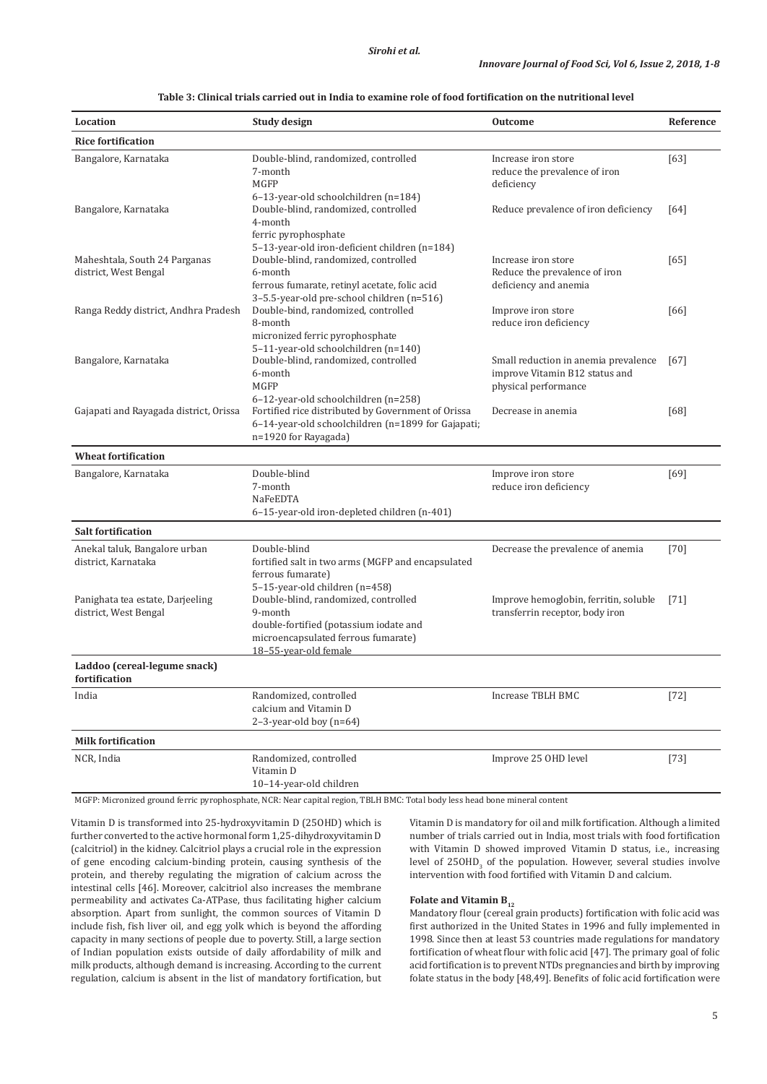| Location                                                  | <b>Study design</b>                                                                                                                                       | <b>Outcome</b>                                                                                 | Reference |
|-----------------------------------------------------------|-----------------------------------------------------------------------------------------------------------------------------------------------------------|------------------------------------------------------------------------------------------------|-----------|
| <b>Rice fortification</b>                                 |                                                                                                                                                           |                                                                                                |           |
| Bangalore, Karnataka                                      | Double-blind, randomized, controlled<br>7-month<br><b>MGFP</b>                                                                                            | Increase iron store<br>reduce the prevalence of iron<br>deficiency                             | [63]      |
| Bangalore, Karnataka                                      | 6-13-year-old schoolchildren (n=184)<br>Double-blind, randomized, controlled<br>4-month<br>ferric pyrophosphate                                           | Reduce prevalence of iron deficiency                                                           | [64]      |
| Maheshtala, South 24 Parganas<br>district, West Bengal    | 5-13-year-old iron-deficient children (n=184)<br>Double-blind, randomized, controlled<br>6-month<br>ferrous fumarate, retinyl acetate, folic acid         | Increase iron store<br>Reduce the prevalence of iron<br>deficiency and anemia                  | [65]      |
| Ranga Reddy district, Andhra Pradesh                      | 3-5.5-year-old pre-school children (n=516)<br>Double-bind, randomized, controlled<br>8-month<br>micronized ferric pyrophosphate                           | Improve iron store<br>reduce iron deficiency                                                   | [66]      |
| Bangalore, Karnataka                                      | 5-11-year-old schoolchildren (n=140)<br>Double-blind, randomized, controlled<br>6-month<br><b>MGFP</b><br>6-12-year-old schoolchildren (n=258)            | Small reduction in anemia prevalence<br>improve Vitamin B12 status and<br>physical performance | [67]      |
| Gajapati and Rayagada district, Orissa                    | Fortified rice distributed by Government of Orissa<br>6-14-year-old schoolchildren (n=1899 for Gajapati;<br>n=1920 for Rayagada)                          | Decrease in anemia                                                                             | [68]      |
| <b>Wheat fortification</b>                                |                                                                                                                                                           |                                                                                                |           |
| Bangalore, Karnataka                                      | Double-blind<br>7-month<br>NaFeEDTA<br>6-15-year-old iron-depleted children (n-401)                                                                       | Improve iron store<br>reduce iron deficiency                                                   | $[69]$    |
| <b>Salt fortification</b>                                 |                                                                                                                                                           |                                                                                                |           |
| Anekal taluk, Bangalore urban<br>district, Karnataka      | Double-blind<br>fortified salt in two arms (MGFP and encapsulated<br>ferrous fumarate)<br>5-15-year-old children (n=458)                                  | Decrease the prevalence of anemia                                                              | $[70]$    |
| Panighata tea estate, Darjeeling<br>district, West Bengal | Double-blind, randomized, controlled<br>9-month<br>double-fortified (potassium iodate and<br>microencapsulated ferrous fumarate)<br>18-55-year-old female | Improve hemoglobin, ferritin, soluble<br>transferrin receptor, body iron                       | $[71]$    |
| Laddoo (cereal-legume snack)<br>fortification             |                                                                                                                                                           |                                                                                                |           |
| India                                                     | Randomized, controlled<br>calcium and Vitamin D<br>$2-3$ -year-old boy $(n=64)$                                                                           | <b>Increase TBLH BMC</b>                                                                       | $[72]$    |
| <b>Milk fortification</b>                                 |                                                                                                                                                           |                                                                                                |           |
| NCR, India                                                | Randomized, controlled<br>Vitamin D<br>10-14-year-old children                                                                                            | Improve 25 OHD level                                                                           | $[73]$    |
|                                                           |                                                                                                                                                           |                                                                                                |           |

**Table 3: Clinical trials carried out in India to examine role of food fortification on the nutritional level**

MGFP: Micronized ground ferric pyrophosphate, NCR: Near capital region, TBLH BMC: Total body less head bone mineral content

Vitamin D is transformed into 25-hydroxyvitamin D (25OHD) which is further converted to the active hormonal form 1,25-dihydroxyvitamin D (calcitriol) in the kidney. Calcitriol plays a crucial role in the expression of gene encoding calcium-binding protein, causing synthesis of the protein, and thereby regulating the migration of calcium across the intestinal cells [46]. Moreover, calcitriol also increases the membrane permeability and activates Ca-ATPase, thus facilitating higher calcium absorption. Apart from sunlight, the common sources of Vitamin D include fish, fish liver oil, and egg yolk which is beyond the affording capacity in many sections of people due to poverty. Still, a large section of Indian population exists outside of daily affordability of milk and milk products, although demand is increasing. According to the current regulation, calcium is absent in the list of mandatory fortification, but Vitamin D is mandatory for oil and milk fortification. Although a limited number of trials carried out in India, most trials with food fortification with Vitamin D showed improved Vitamin D status, i.e., increasing level of  $250HD_{3}$  of the population. However, several studies involve intervention with food fortified with Vitamin D and calcium.

# **Folate and Vitamin B**<sub>12</sub>

Mandatory flour (cereal grain products) fortification with folic acid was first authorized in the United States in 1996 and fully implemented in 1998. Since then at least 53 countries made regulations for mandatory fortification of wheat flour with folic acid [47]. The primary goal of folic acid fortification is to prevent NTDs pregnancies and birth by improving folate status in the body [48,49]. Benefits of folic acid fortification were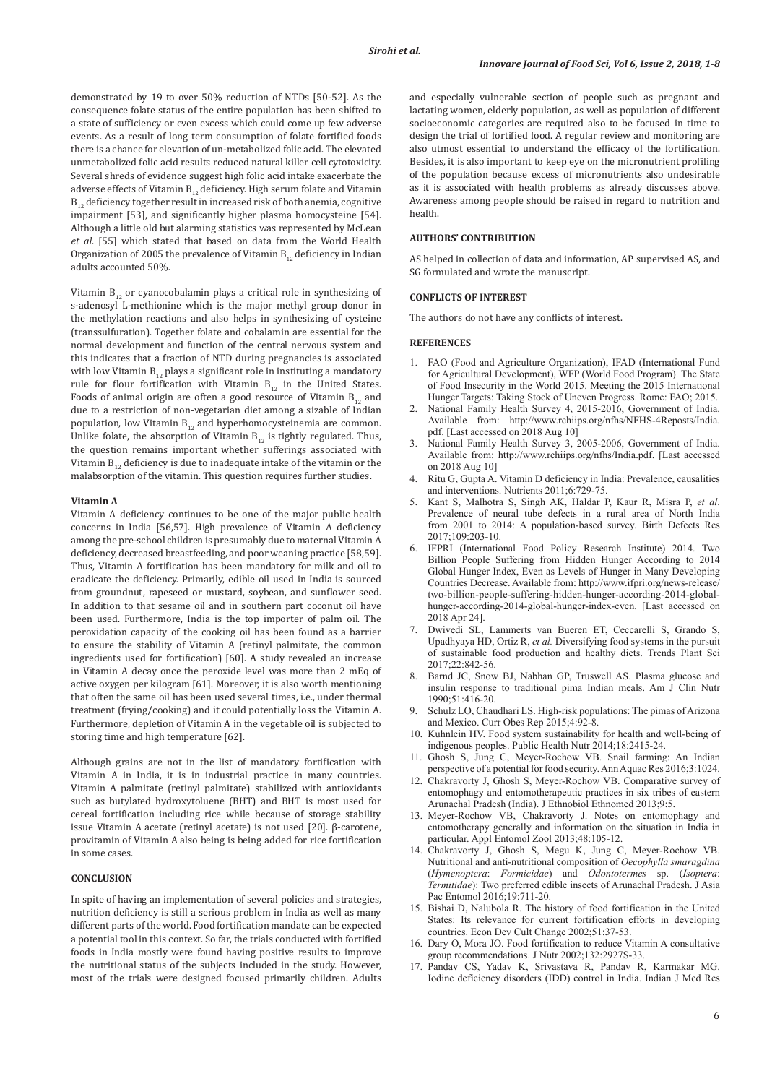demonstrated by 19 to over 50% reduction of NTDs [50-52]. As the consequence folate status of the entire population has been shifted to a state of sufficiency or even excess which could come up few adverse events. As a result of long term consumption of folate fortified foods there is a chance for elevation of un-metabolized folic acid. The elevated unmetabolized folic acid results reduced natural killer cell cytotoxicity. Several shreds of evidence suggest high folic acid intake exacerbate the adverse effects of Vitamin  $B_{12}$  deficiency. High serum folate and Vitamin  $B_{12}$  deficiency together result in increased risk of both anemia, cognitive impairment [53], and significantly higher plasma homocysteine [54]. Although a little old but alarming statistics was represented by McLean *et al*. [55] which stated that based on data from the World Health Organization of 2005 the prevalence of Vitamin  $B_{12}$  deficiency in Indian adults accounted 50%.

Vitamin  $B_{12}$  or cyanocobalamin plays a critical role in synthesizing of s-adenosyl L-methionine which is the major methyl group donor in the methylation reactions and also helps in synthesizing of cysteine (transsulfuration). Together folate and cobalamin are essential for the normal development and function of the central nervous system and this indicates that a fraction of NTD during pregnancies is associated with low Vitamin  $B_{12}$  plays a significant role in instituting a mandatory rule for flour fortification with Vitamin  $B_{12}$  in the United States. Foods of animal origin are often a good resource of Vitamin  $B_{12}$  and due to a restriction of non-vegetarian diet among a sizable of Indian population, low Vitamin  $B_{12}$  and hyperhomocysteinemia are common. Unlike folate, the absorption of Vitamin  $B_{12}$  is tightly regulated. Thus, the question remains important whether sufferings associated with Vitamin  $B_{12}$  deficiency is due to inadequate intake of the vitamin or the malabsorption of the vitamin. This question requires further studies.

### **Vitamin A**

Vitamin A deficiency continues to be one of the major public health concerns in India [56,57]. High prevalence of Vitamin A deficiency among the pre-school children is presumably due to maternal Vitamin A deficiency, decreased breastfeeding, and poor weaning practice [58,59]. Thus, Vitamin A fortification has been mandatory for milk and oil to eradicate the deficiency. Primarily, edible oil used in India is sourced from groundnut, rapeseed or mustard, soybean, and sunflower seed. In addition to that sesame oil and in southern part coconut oil have been used. Furthermore, India is the top importer of palm oil. The peroxidation capacity of the cooking oil has been found as a barrier to ensure the stability of Vitamin A (retinyl palmitate, the common ingredients used for fortification) [60]. A study revealed an increase in Vitamin A decay once the peroxide level was more than 2 mEq of active oxygen per kilogram [61]. Moreover, it is also worth mentioning that often the same oil has been used several times, i.e., under thermal treatment (frying/cooking) and it could potentially loss the Vitamin A. Furthermore, depletion of Vitamin A in the vegetable oil is subjected to storing time and high temperature [62].

Although grains are not in the list of mandatory fortification with Vitamin A in India, it is in industrial practice in many countries. Vitamin A palmitate (retinyl palmitate) stabilized with antioxidants such as butylated hydroxytoluene (BHT) and BHT is most used for cereal fortification including rice while because of storage stability issue Vitamin A acetate (retinyl acetate) is not used [20]. β-carotene, provitamin of Vitamin A also being is being added for rice fortification in some cases.

## **CONCLUSION**

In spite of having an implementation of several policies and strategies, nutrition deficiency is still a serious problem in India as well as many different parts of the world. Food fortification mandate can be expected a potential tool in this context. So far, the trials conducted with fortified foods in India mostly were found having positive results to improve the nutritional status of the subjects included in the study. However, most of the trials were designed focused primarily children. Adults

and especially vulnerable section of people such as pregnant and lactating women, elderly population, as well as population of different socioeconomic categories are required also to be focused in time to design the trial of fortified food. A regular review and monitoring are also utmost essential to understand the efficacy of the fortification. Besides, it is also important to keep eye on the micronutrient profiling of the population because excess of micronutrients also undesirable as it is associated with health problems as already discusses above. Awareness among people should be raised in regard to nutrition and health.

## **AUTHORS' CONTRIBUTION**

AS helped in collection of data and information, AP supervised AS, and SG formulated and wrote the manuscript.

### **CONFLICTS OF INTEREST**

The authors do not have any conflicts of interest.

## **REFERENCES**

- 1. FAO (Food and Agriculture Organization), IFAD (International Fund for Agricultural Development), WFP (World Food Program). The State of Food Insecurity in the World 2015. Meeting the 2015 International Hunger Targets: Taking Stock of Uneven Progress. Rome: FAO; 2015.
- 2. National Family Health Survey 4, 2015-2016, Government of India. Available from: http://www.rchiips.org/nfhs/NFHS-4Reposts/India. pdf. [Last accessed on 2018 Aug 10]
- National Family Health Survey 3, 2005-2006, Government of India. Available from: http://www.rchiips.org/nfhs/India.pdf. [Last accessed on 2018 Aug 10]
- 4. Ritu G, Gupta A. Vitamin D deficiency in India: Prevalence, causalities and interventions. Nutrients 2011;6:729-75.
- 5. Kant S, Malhotra S, Singh AK, Haldar P, Kaur R, Misra P, *et al*. Prevalence of neural tube defects in a rural area of North India from 2001 to 2014: A population-based survey. Birth Defects Res 2017;109:203-10.
- 6. IFPRI (International Food Policy Research Institute) 2014. Two Billion People Suffering from Hidden Hunger According to 2014 Global Hunger Index, Even as Levels of Hunger in Many Developing Countries Decrease. Available from: http://www.ifpri.org/news-release/ two-billion-people-suffering-hidden-hunger-according-2014-globalhunger-according-2014-global-hunger-index-even. [Last accessed on 2018 Apr 24].
- 7. Dwivedi SL, Lammerts van Bueren ET, Ceccarelli S, Grando S, Upadhyaya HD, Ortiz R, *et al.* Diversifying food systems in the pursuit of sustainable food production and healthy diets. Trends Plant Sci 2017;22:842-56.
- 8. Barnd JC, Snow BJ, Nabhan GP, Truswell AS. Plasma glucose and insulin response to traditional pima Indian meals. Am J Clin Nutr 1990;51:416-20.
- 9. Schulz LO, Chaudhari LS. High-risk populations: The pimas of Arizona and Mexico. Curr Obes Rep 2015;4:92-8.
- 10. Kuhnlein HV. Food system sustainability for health and well-being of indigenous peoples. Public Health Nutr 2014;18:2415-24.
- 11. Ghosh S, Jung C, Meyer-Rochow VB. Snail farming: An Indian perspective of a potential for food security. Ann Aquac Res 2016;3:1024.
- 12. Chakravorty J, Ghosh S, Meyer-Rochow VB. Comparative survey of entomophagy and entomotherapeutic practices in six tribes of eastern Arunachal Pradesh (India). J Ethnobiol Ethnomed 2013;9:5.
- 13. Meyer-Rochow VB, Chakravorty J. Notes on entomophagy and entomotherapy generally and information on the situation in India in particular. Appl Entomol Zool 2013;48:105-12.
- 14. Chakravorty J, Ghosh S, Megu K, Jung C, Meyer-Rochow VB. Nutritional and anti-nutritional composition of *Oecophylla smaragdina*  (*Hymenoptera*: *Formicidae*) and *Odontotermes* sp. (*Isoptera*: *Termitidae*): Two preferred edible insects of Arunachal Pradesh. J Asia Pac Entomol 2016;19:711-20.
- 15. Bishai D, Nalubola R. The history of food fortification in the United States: Its relevance for current fortification efforts in developing countries. Econ Dev Cult Change 2002;51:37-53.
- 16. Dary O, Mora JO. Food fortification to reduce Vitamin A consultative group recommendations. J Nutr 2002;132:2927S-33.
- 17. Pandav CS, Yadav K, Srivastava R, Pandav R, Karmakar MG. Iodine deficiency disorders (IDD) control in India. Indian J Med Res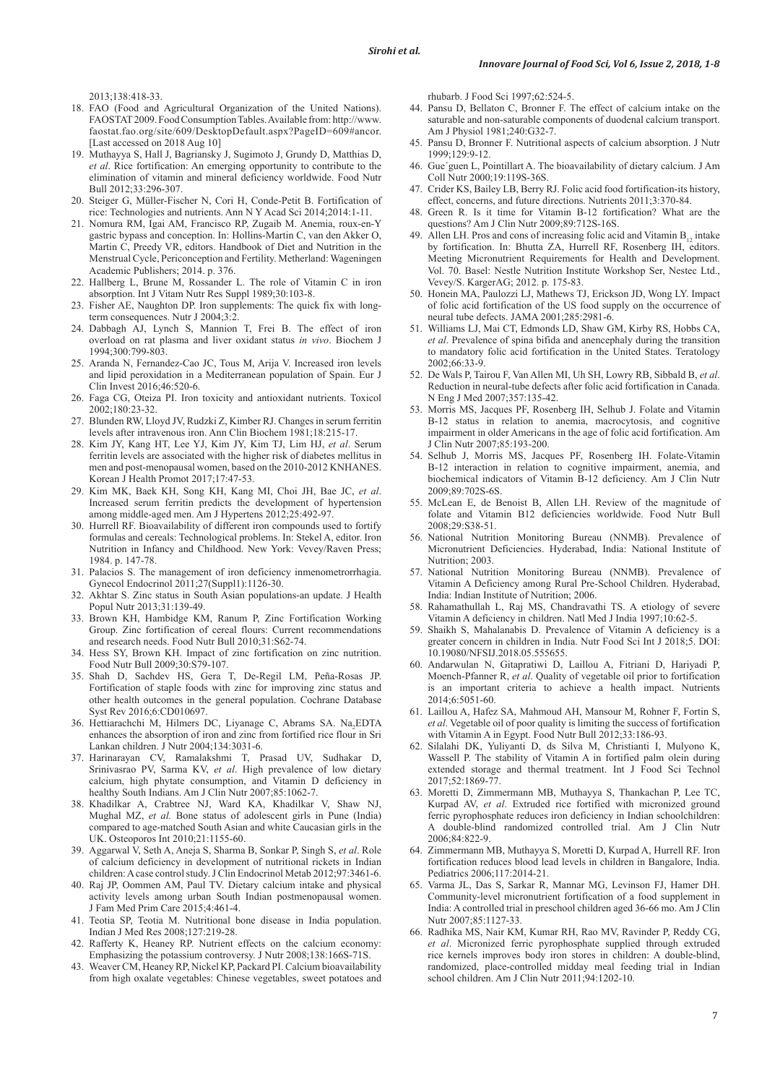2013;138:418-33.

- 18. FAO (Food and Agricultural Organization of the United Nations). FAOSTAT 2009. Food Consumption Tables. Available from: http://www. faostat.fao.org/site/609/DesktopDefault.aspx?PageID=609#ancor. [Last accessed on 2018 Aug 10]
- 19. Muthayya S, Hall J, Bagriansky J, Sugimoto J, Grundy D, Matthias D, *et al*. Rice fortification: An emerging opportunity to contribute to the elimination of vitamin and mineral deficiency worldwide. Food Nutr Bull 2012;33:296-307.
- 20. Steiger G, Müller-Fischer N, Cori H, Conde-Petit B. Fortification of rice: Technologies and nutrients. Ann N Y Acad Sci 2014;2014:1-11.
- 21. Nomura RM, Igai AM, Francisco RP, Zugaib M. Anemia, roux-en-Y gastric bypass and conception. In: Hollins-Martin C, van den Akker O, Martin C, Preedy VR, editors. Handbook of Diet and Nutrition in the Menstrual Cycle, Periconception and Fertility. Metherland: Wageningen Academic Publishers; 2014. p. 376.
- 22. Hallberg L, Brune M, Rossander L. The role of Vitamin C in iron absorption. Int J Vitam Nutr Res Suppl 1989;30:103-8.
- 23. Fisher AE, Naughton DP. Iron supplements: The quick fix with longterm consequences. Nutr J 2004;3:2.
- 24. Dabbagh AJ, Lynch S, Mannion T, Frei B. The effect of iron overload on rat plasma and liver oxidant status *in vivo*. Biochem J 1994;300:799-803.
- 25. Aranda N, Fernandez-Cao JC, Tous M, Arija V. Increased iron levels and lipid peroxidation in a Mediterranean population of Spain. Eur J Clin Invest 2016;46:520-6.
- 26. Faga CG, Oteiza PI. Iron toxicity and antioxidant nutrients. Toxicol 2002;180:23-32.
- 27. Blunden RW, Lloyd JV, Rudzki Z, Kimber RJ. Changes in serum ferritin levels after intravenous iron. Ann Clin Biochem 1981;18:215-17.
- 28. Kim JY, Kang HT, Lee YJ, Kim JY, Kim TJ, Lim HJ, *et al*. Serum ferritin levels are associated with the higher risk of diabetes mellitus in men and post-menopausal women, based on the 2010-2012 KNHANES. Korean J Health Promot 2017;17:47-53.
- 29. Kim MK, Baek KH, Song KH, Kang MI, Choi JH, Bae JC, *et al*. Increased serum ferritin predicts the development of hypertension among middle-aged men. Am J Hypertens 2012;25:492-97.
- 30. Hurrell RF. Bioavailability of different iron compounds used to fortify formulas and cereals: Technological problems. In: Stekel A, editor. Iron Nutrition in Infancy and Childhood. New York: Vevey/Raven Press; 1984. p. 147-78.
- 31. Palacios S. The management of iron deficiency inmenometrorrhagia. Gynecol Endocrinol 2011;27(Suppl1):1126-30.
- 32. Akhtar S. Zinc status in South Asian populations-an update. J Health Popul Nutr 2013;31:139-49.
- 33. Brown KH, Hambidge KM, Ranum P, Zinc Fortification Working Group. Zinc fortification of cereal flours: Current recommendations and research needs. Food Nutr Bull 2010;31:S62-74.
- 34. Hess SY, Brown KH. Impact of zinc fortification on zinc nutrition. Food Nutr Bull 2009;30:S79-107.
- 35. Shah D, Sachdev HS, Gera T, De-Regil LM, Peña-Rosas JP. Fortification of staple foods with zinc for improving zinc status and other health outcomes in the general population. Cochrane Database Syst Rev 2016;6:CD010697.
- 36. Hettiarachchi M, Hilmers DC, Liyanage C, Abrams SA. Na<sub>2</sub>EDTA enhances the absorption of iron and zinc from fortified rice flour in Sri Lankan children. J Nutr 2004;134:3031-6.
- 37. Harinarayan CV, Ramalakshmi T, Prasad UV, Sudhakar D, Srinivasrao PV, Sarma KV, *et al*. High prevalence of low dietary calcium, high phytate consumption, and Vitamin D deficiency in healthy South Indians. Am J Clin Nutr 2007;85:1062-7.
- 38. Khadilkar A, Crabtree NJ, Ward KA, Khadilkar V, Shaw NJ, Mughal MZ, *et al.* Bone status of adolescent girls in Pune (India) compared to age-matched South Asian and white Caucasian girls in the UK. Osteoporos Int 2010;21:1155-60.
- 39. Aggarwal V, Seth A, Aneja S, Sharma B, Sonkar P, Singh S, *et al*. Role of calcium deficiency in development of nutritional rickets in Indian children: Acase control study. J Clin Endocrinol Metab 2012;97:3461-6.
- 40. Raj JP, Oommen AM, Paul TV. Dietary calcium intake and physical activity levels among urban South Indian postmenopausal women. J Fam Med Prim Care 2015;4:461-4.
- 41. Teotia SP, Teotia M. Nutritional bone disease in India population. Indian J Med Res 2008;127:219-28.
- 42. Rafferty K, Heaney RP. Nutrient effects on the calcium economy: Emphasizing the potassium controversy. J Nutr 2008;138:166S-71S.
- 43. Weaver CM, Heaney RP, Nickel KP, Packard PI. Calcium bioavailability from high oxalate vegetables: Chinese vegetables, sweet potatoes and

rhubarb. J Food Sci 1997;62:524-5.

- 44. Pansu D, Bellaton C, Bronner F. The effect of calcium intake on the saturable and non-saturable components of duodenal calcium transport. Am J Physiol 1981;240:G32-7.
- 45. Pansu D, Bronner F. Nutritional aspects of calcium absorption. J Nutr 1999;129:9-12.
- 46. Gue´guen L, Pointillart A. The bioavailability of dietary calcium. J Am Coll Nutr 2000;19:119S-36S.
- 47. Crider KS, Bailey LB, Berry RJ. Folic acid food fortification-its history, effect, concerns, and future directions. Nutrients 2011;3:370-84.
- 48. Green R. Is it time for Vitamin B-12 fortification? What are the questions? Am J Clin Nutr 2009;89:712S-16S.
- 49. Allen LH. Pros and cons of increasing folic acid and Vitamin  $B_{12}$  intake by fortification. In: Bhutta ZA, Hurrell RF, Rosenberg IH, editors. Meeting Micronutrient Requirements for Health and Development. Vol. 70. Basel: Nestle Nutrition Institute Workshop Ser, Nestec Ltd., Vevey/S. KargerAG; 2012. p. 175-83.
- 50. Honein MA, Paulozzi LJ, Mathews TJ, Erickson JD, Wong LY. Impact of folic acid fortification of the US food supply on the occurrence of neural tube defects. JAMA 2001;285:2981-6.
- 51. Williams LJ, Mai CT, Edmonds LD, Shaw GM, Kirby RS, Hobbs CA, *et al*. Prevalence of spina bifida and anencephaly during the transition to mandatory folic acid fortification in the United States. Teratology 2002;66:33-9.
- 52. De Wals P, Tairou F, Van Allen MI, Uh SH, Lowry RB, Sibbald B, *et al*. Reduction in neural-tube defects after folic acid fortification in Canada. N Eng J Med 2007;357:135-42.
- 53. Morris MS, Jacques PF, Rosenberg IH, Selhub J. Folate and Vitamin B-12 status in relation to anemia, macrocytosis, and cognitive impairment in older Americans in the age of folic acid fortification. Am J Clin Nutr 2007;85:193-200.
- 54. Selhub J, Morris MS, Jacques PF, Rosenberg IH. Folate-Vitamin B-12 interaction in relation to cognitive impairment, anemia, and biochemical indicators of Vitamin B-12 deficiency. Am J Clin Nutr 2009;89:702S-6S.
- 55. McLean E, de Benoist B, Allen LH. Review of the magnitude of folate and Vitamin B12 deficiencies worldwide. Food Nutr Bull 2008;29:S38-51.
- 56. National Nutrition Monitoring Bureau (NNMB). Prevalence of Micronutrient Deficiencies. Hyderabad, India: National Institute of Nutrition; 2003.
- 57. National Nutrition Monitoring Bureau (NNMB). Prevalence of Vitamin A Deficiency among Rural Pre-School Children. Hyderabad, India: Indian Institute of Nutrition; 2006.
- 58. Rahamathullah L, Raj MS, Chandravathi TS. A etiology of severe Vitamin A deficiency in children. Natl Med J India 1997;10:62-5.
- 59. Shaikh S, Mahalanabis D. Prevalence of Vitamin A deficiency is a greater concern in children in India. Nutr Food Sci Int J 2018;5. DOI: 10.19080/NFSIJ.2018.05.555655.
- 60. Andarwulan N, Gitapratiwi D, Laillou A, Fitriani D, Hariyadi P, Moench-Pfanner R, *et al*. Quality of vegetable oil prior to fortification is an important criteria to achieve a health impact. Nutrients 2014;6:5051-60.
- 61. Laillou A, Hafez SA, Mahmoud AH, Mansour M, Rohner F, Fortin S, *et al*. Vegetable oil of poor quality is limiting the success of fortification with Vitamin A in Egypt. Food Nutr Bull 2012;33:186-93.
- 62. Silalahi DK, Yuliyanti D, ds Silva M, Christianti I, Mulyono K, Wassell P. The stability of Vitamin A in fortified palm olein during extended storage and thermal treatment. Int J Food Sci Technol 2017;52:1869-77.
- 63. Moretti D, Zimmermann MB, Muthayya S, Thankachan P, Lee TC, Kurpad AV, *et al*. Extruded rice fortified with micronized ground ferric pyrophosphate reduces iron deficiency in Indian schoolchildren: A double-blind randomized controlled trial. Am J Clin Nutr 2006;84:822-9.
- 64. Zimmermann MB, Muthayya S, Moretti D, Kurpad A, Hurrell RF. Iron fortification reduces blood lead levels in children in Bangalore, India. Pediatrics 2006;117:2014-21.
- 65. Varma JL, Das S, Sarkar R, Mannar MG, Levinson FJ, Hamer DH. Community-level micronutrient fortification of a food supplement in India: A controlled trial in preschool children aged 36-66 mo. Am J Clin Nutr 2007;85:1127-33.
- 66. Radhika MS, Nair KM, Kumar RH, Rao MV, Ravinder P, Reddy CG, *et al*. Micronized ferric pyrophosphate supplied through extruded rice kernels improves body iron stores in children: A double-blind, randomized, place-controlled midday meal feeding trial in Indian school children. Am J Clin Nutr 2011;94:1202-10.